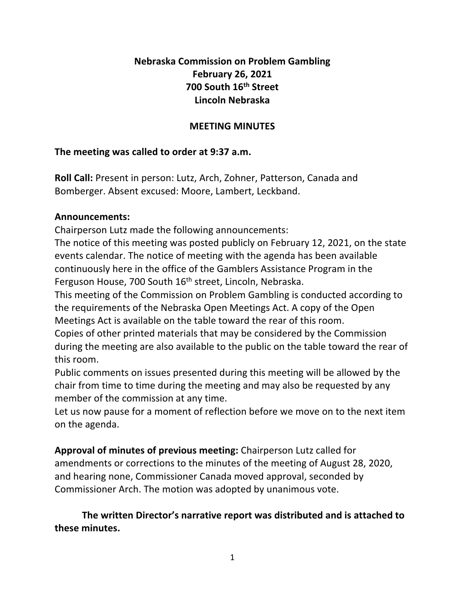# **Nebraska Commission on Problem Gambling February 26, 2021 700 South 16th Street Lincoln Nebraska**

# **MEETING MINUTES**

# **The meeting was called to order at 9:37 a.m.**

**Roll Call:** Present in person: Lutz, Arch, Zohner, Patterson, Canada and Bomberger. Absent excused: Moore, Lambert, Leckband.

## **Announcements:**

Chairperson Lutz made the following announcements:

The notice of this meeting was posted publicly on February 12, 2021, on the state events calendar. The notice of meeting with the agenda has been available continuously here in the office of the Gamblers Assistance Program in the Ferguson House, 700 South 16<sup>th</sup> street, Lincoln, Nebraska.

This meeting of the Commission on Problem Gambling is conducted according to the requirements of the Nebraska Open Meetings Act. A copy of the Open Meetings Act is available on the table toward the rear of this room.

Copies of other printed materials that may be considered by the Commission during the meeting are also available to the public on the table toward the rear of this room.

Public comments on issues presented during this meeting will be allowed by the chair from time to time during the meeting and may also be requested by any member of the commission at any time.

Let us now pause for a moment of reflection before we move on to the next item on the agenda.

**Approval of minutes of previous meeting:** Chairperson Lutz called for amendments or corrections to the minutes of the meeting of August 28, 2020, and hearing none, Commissioner Canada moved approval, seconded by Commissioner Arch. The motion was adopted by unanimous vote.

**The written Director's narrative report was distributed and is attached to these minutes.**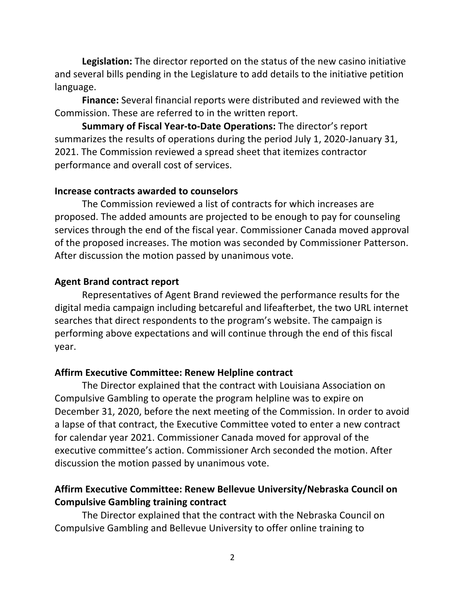**Legislation:** The director reported on the status of the new casino initiative and several bills pending in the Legislature to add details to the initiative petition language.

**Finance:** Several financial reports were distributed and reviewed with the Commission. These are referred to in the written report.

**Summary of Fiscal Year-to-Date Operations:** The director's report summarizes the results of operations during the period July 1, 2020-January 31, 2021. The Commission reviewed a spread sheet that itemizes contractor performance and overall cost of services.

#### **Increase contracts awarded to counselors**

The Commission reviewed a list of contracts for which increases are proposed. The added amounts are projected to be enough to pay for counseling services through the end of the fiscal year. Commissioner Canada moved approval of the proposed increases. The motion was seconded by Commissioner Patterson. After discussion the motion passed by unanimous vote.

## **Agent Brand contract report**

Representatives of Agent Brand reviewed the performance results for the digital media campaign including betcareful and lifeafterbet, the two URL internet searches that direct respondents to the program's website. The campaign is performing above expectations and will continue through the end of this fiscal year.

## **Affirm Executive Committee: Renew Helpline contract**

The Director explained that the contract with Louisiana Association on Compulsive Gambling to operate the program helpline was to expire on December 31, 2020, before the next meeting of the Commission. In order to avoid a lapse of that contract, the Executive Committee voted to enter a new contract for calendar year 2021. Commissioner Canada moved for approval of the executive committee's action. Commissioner Arch seconded the motion. After discussion the motion passed by unanimous vote.

## **Affirm Executive Committee: Renew Bellevue University/Nebraska Council on Compulsive Gambling training contract**

The Director explained that the contract with the Nebraska Council on Compulsive Gambling and Bellevue University to offer online training to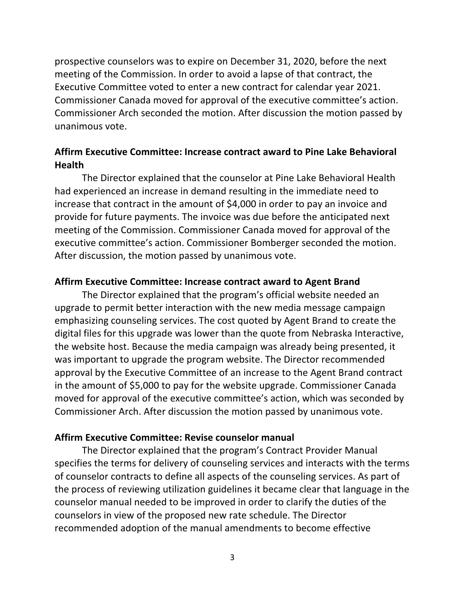prospective counselors was to expire on December 31, 2020, before the next meeting of the Commission. In order to avoid a lapse of that contract, the Executive Committee voted to enter a new contract for calendar year 2021. Commissioner Canada moved for approval of the executive committee's action. Commissioner Arch seconded the motion. After discussion the motion passed by unanimous vote.

## **Affirm Executive Committee: Increase contract award to Pine Lake Behavioral Health**

The Director explained that the counselor at Pine Lake Behavioral Health had experienced an increase in demand resulting in the immediate need to increase that contract in the amount of \$4,000 in order to pay an invoice and provide for future payments. The invoice was due before the anticipated next meeting of the Commission. Commissioner Canada moved for approval of the executive committee's action. Commissioner Bomberger seconded the motion. After discussion, the motion passed by unanimous vote.

## **Affirm Executive Committee: Increase contract award to Agent Brand**

The Director explained that the program's official website needed an upgrade to permit better interaction with the new media message campaign emphasizing counseling services. The cost quoted by Agent Brand to create the digital files for this upgrade was lower than the quote from Nebraska Interactive, the website host. Because the media campaign was already being presented, it was important to upgrade the program website. The Director recommended approval by the Executive Committee of an increase to the Agent Brand contract in the amount of \$5,000 to pay for the website upgrade. Commissioner Canada moved for approval of the executive committee's action, which was seconded by Commissioner Arch. After discussion the motion passed by unanimous vote.

## **Affirm Executive Committee: Revise counselor manual**

The Director explained that the program's Contract Provider Manual specifies the terms for delivery of counseling services and interacts with the terms of counselor contracts to define all aspects of the counseling services. As part of the process of reviewing utilization guidelines it became clear that language in the counselor manual needed to be improved in order to clarify the duties of the counselors in view of the proposed new rate schedule. The Director recommended adoption of the manual amendments to become effective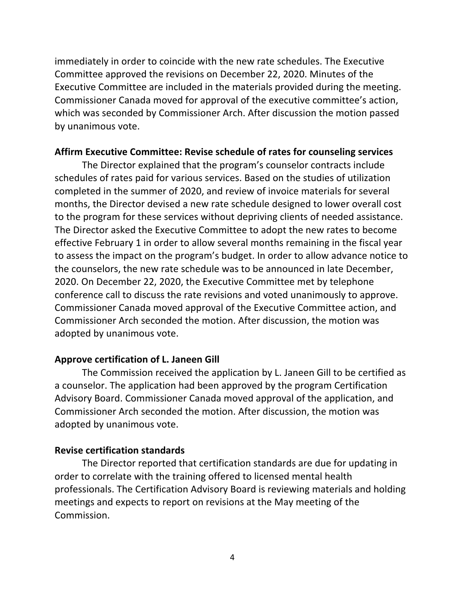immediately in order to coincide with the new rate schedules. The Executive Committee approved the revisions on December 22, 2020. Minutes of the Executive Committee are included in the materials provided during the meeting. Commissioner Canada moved for approval of the executive committee's action, which was seconded by Commissioner Arch. After discussion the motion passed by unanimous vote.

#### **Affirm Executive Committee: Revise schedule of rates for counseling services**

The Director explained that the program's counselor contracts include schedules of rates paid for various services. Based on the studies of utilization completed in the summer of 2020, and review of invoice materials for several months, the Director devised a new rate schedule designed to lower overall cost to the program for these services without depriving clients of needed assistance. The Director asked the Executive Committee to adopt the new rates to become effective February 1 in order to allow several months remaining in the fiscal year to assess the impact on the program's budget. In order to allow advance notice to the counselors, the new rate schedule was to be announced in late December, 2020. On December 22, 2020, the Executive Committee met by telephone conference call to discuss the rate revisions and voted unanimously to approve. Commissioner Canada moved approval of the Executive Committee action, and Commissioner Arch seconded the motion. After discussion, the motion was adopted by unanimous vote.

#### **Approve certification of L. Janeen Gill**

The Commission received the application by L. Janeen Gill to be certified as a counselor. The application had been approved by the program Certification Advisory Board. Commissioner Canada moved approval of the application, and Commissioner Arch seconded the motion. After discussion, the motion was adopted by unanimous vote.

### **Revise certification standards**

The Director reported that certification standards are due for updating in order to correlate with the training offered to licensed mental health professionals. The Certification Advisory Board is reviewing materials and holding meetings and expects to report on revisions at the May meeting of the Commission.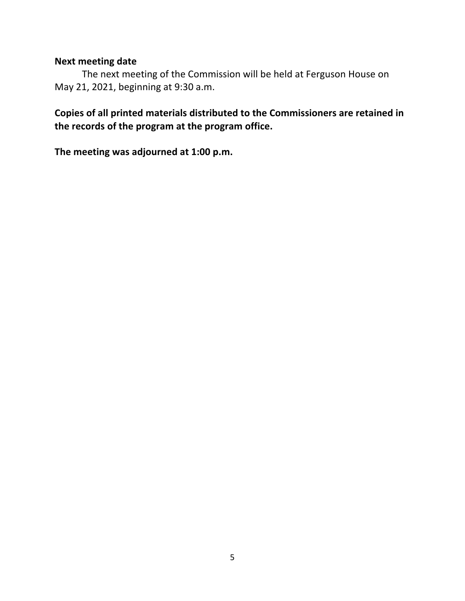## **Next meeting date**

The next meeting of the Commission will be held at Ferguson House on May 21, 2021, beginning at 9:30 a.m.

# **Copies of all printed materials distributed to the Commissioners are retained in the records of the program at the program office.**

**The meeting was adjourned at 1:00 p.m.**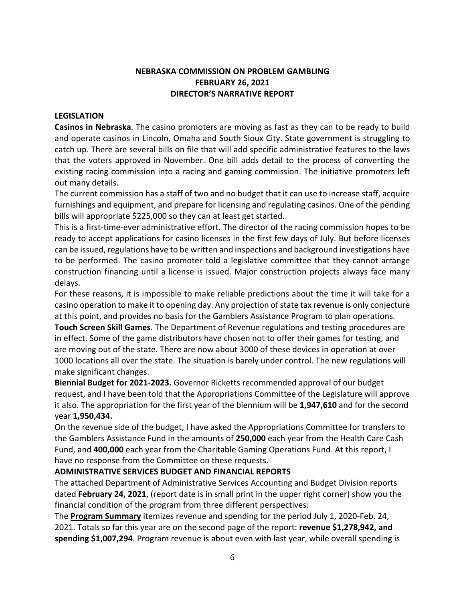## **NEBRASKA COMMISSION ON PROBLEM GAMBLING FEBRUARY 26, 2021 DIRECTOR'S NARRATIVE REPORT**

#### **LEGISLATION**

**Casinos in Nebraska**. The casino promoters are moving as fast as they can to be ready to build and operate casinos in Lincoln, Omaha and South Sioux City. State government is struggling to catch up. There are several bills on file that will add specific administrative features to the laws that the voters approved in November. One bill adds detail to the process of converting the existing racing commission into a racing and gaming commission. The initiative promoters left out many details.

The current commission has a staff of two and no budget that it can use to increase staff, acquire furnishings and equipment, and prepare for licensing and regulating casinos. One of the pending bills will appropriate \$225,000 so they can at least get started.

This is a first-time-ever administrative effort. The director of the racing commission hopes to be ready to accept applications for casino licenses in the first few days of July. But before licenses can be issued, regulations have to be written and inspections and background investigations have to be performed. The casino promoter told a legislative committee that they cannot arrange construction financing until a license is issued. Major construction projects always face many delays.

For these reasons, it is impossible to make reliable predictions about the time it will take for a casino operation to make it to opening day. Any projection of state tax revenue is only conjecture at this point, and provides no basis for the Gamblers Assistance Program to plan operations.

**Touch Screen Skill Games**. The Department of Revenue regulations and testing procedures are in effect. Some of the game distributors have chosen not to offer their games for testing, and are moving out of the state. There are now about 3000 of these devices in operation at over 1000 locations all over the state. The situation is barely under control. The new regulations will make significant changes.

**Biennial Budget for 2021-2023.** Governor Ricketts recommended approval of our budget request, and I have been told that the Appropriations Committee of the Legislature will approve it also. The appropriation for the first year of the biennium will be **1,947,610** and for the second year **1,950,434.**

On the revenue side of the budget, I have asked the Appropriations Committee for transfers to the Gamblers Assistance Fund in the amounts of **250,000** each year from the Health Care Cash Fund, and **400,000** each year from the Charitable Gaming Operations Fund. At this report, I have no response from the Committee on these requests.

#### **ADMINISTRATIVE SERVICES BUDGET AND FINANCIAL REPORTS**

The attached Department of Administrative Services Accounting and Budget Division reports dated **February 24, 2021**, (report date is in small print in the upper right corner) show you the financial condition of the program from three different perspectives:

The **Program Summary** itemizes revenue and spending for the period July 1, 2020-Feb. 24, 2021. Totals so far this year are on the second page of the report: **revenue \$1,278,942, and spending \$1,007,294**. Program revenue is about even with last year, while overall spending is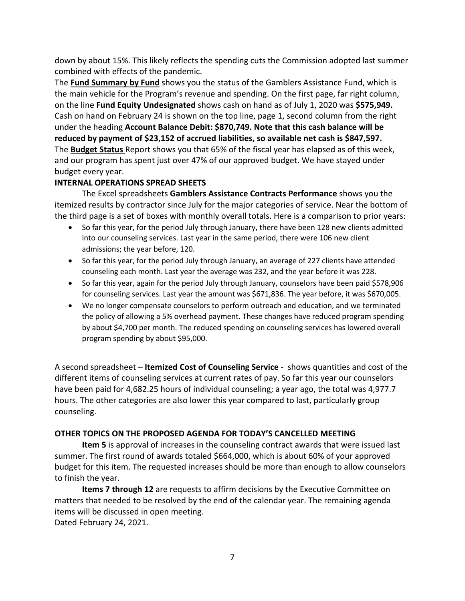down by about 15%. This likely reflects the spending cuts the Commission adopted last summer combined with effects of the pandemic.

The **Fund Summary by Fund** shows you the status of the Gamblers Assistance Fund, which is the main vehicle for the Program's revenue and spending. On the first page, far right column, on the line **Fund Equity Undesignated** shows cash on hand as of July 1, 2020 was **\$575,949.** Cash on hand on February 24 is shown on the top line, page 1, second column from the right under the heading **Account Balance Debit: \$870,749. Note that this cash balance will be reduced by payment of \$23,152 of accrued liabilities, so available net cash is \$847,597.** The **Budget Status** Report shows you that 65% of the fiscal year has elapsed as of this week, and our program has spent just over 47% of our approved budget. We have stayed under budget every year.

## **INTERNAL OPERATIONS SPREAD SHEETS**

The Excel spreadsheets **Gamblers Assistance Contracts Performance** shows you the itemized results by contractor since July for the major categories of service. Near the bottom of the third page is a set of boxes with monthly overall totals. Here is a comparison to prior years:

- So far this year, for the period July through January, there have been 128 new clients admitted into our counseling services. Last year in the same period, there were 106 new client admissions; the year before, 120.
- So far this year, for the period July through January, an average of 227 clients have attended counseling each month. Last year the average was 232, and the year before it was 228.
- So far this year, again for the period July through January, counselors have been paid \$578,906 for counseling services. Last year the amount was \$671,836. The year before, it was \$670,005.
- We no longer compensate counselors to perform outreach and education, and we terminated the policy of allowing a 5% overhead payment. These changes have reduced program spending by about \$4,700 per month. The reduced spending on counseling services has lowered overall program spending by about \$95,000.

A second spreadsheet – **Itemized Cost of Counseling Service** - shows quantities and cost of the different items of counseling services at current rates of pay. So far this year our counselors have been paid for 4,682.25 hours of individual counseling; a year ago, the total was 4,977.7 hours. The other categories are also lower this year compared to last, particularly group counseling.

## **OTHER TOPICS ON THE PROPOSED AGENDA FOR TODAY'S CANCELLED MEETING**

**Item 5** is approval of increases in the counseling contract awards that were issued last summer. The first round of awards totaled \$664,000, which is about 60% of your approved budget for this item. The requested increases should be more than enough to allow counselors to finish the year.

**Items 7 through 12** are requests to affirm decisions by the Executive Committee on matters that needed to be resolved by the end of the calendar year. The remaining agenda items will be discussed in open meeting. Dated February 24, 2021.